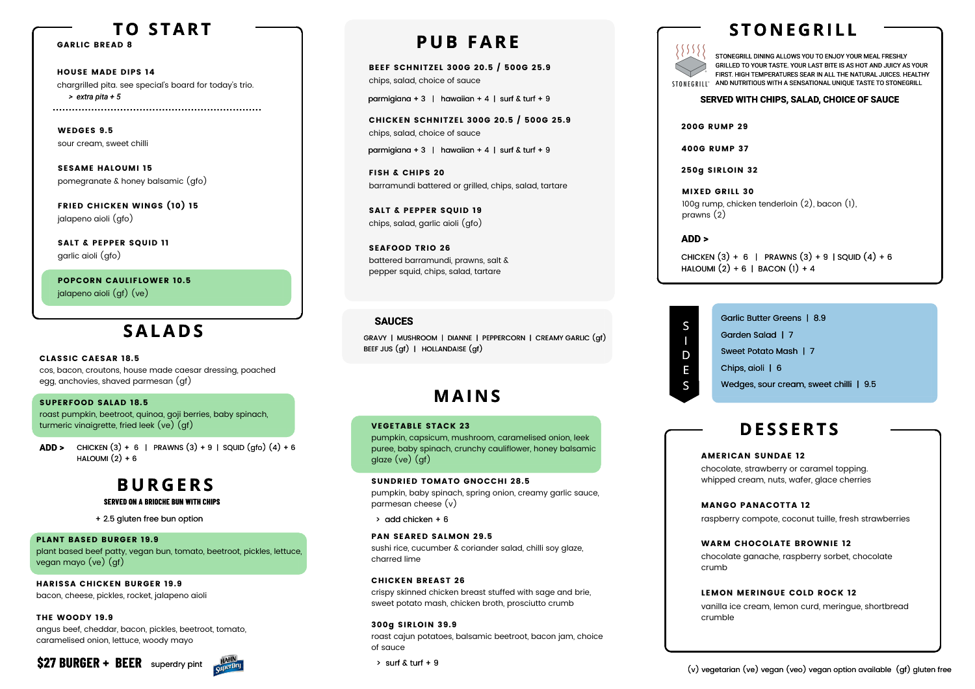MIXED GRILL 30 prawns (2)

100g rump, chicken tenderloin (2), bacon (1),

CHICKEN  $(3) + 6$  | PRAWNS  $(3) + 9$  | SQUID  $(4) + 6$ HALOUMI  $(2) + 6$  | BACON  $(1) + 4$ 

### CLASSIC CAESAR 18.5

cos, bacon, croutons, house made caesar dressing, poached egg, anchovies, shaved parmesan (gf)

Garlic Butter Greens | 8.9 Garden Salad | 7 Sweet Potato Mash | 7 Chips, aioli | 6 Wedges, sour cream, sweet chilli | 9.5

### SUPERFOOD SALAD 18.5

roast pumpkin, beetroot, quinoa, goji berries, baby spinach, turmeric vinaigrette, fried leek (ve) (gf)

S

I D E S

SALT & PEPPER SQUID 11 garlic aioli (gfo)

BEEF SCHNITZEL 300G 20.5 / 500G 25.9 chips, salad, choice of sauce

parmigiana + 3 | hawaiian + 4 | surf  $\&$  turf + 9

CHICKEN SCHNITZEL 300G 20.5 / 500G 25.9 chips, salad, choice of sauce

parmigiana + 3 | hawaiian + 4 | surf & turf + 9

FISH & CHIPS 20 barramundi battered or grilled, chips, salad, tartare

SALT & PEPPER SQUID 19 chips, salad, garlic aioli (gfo)

SEAFOOD TRIO 26 battered barramundi, prawns, salt & pepper squid, chips, salad, tartare

# **P U B FARE**

# **SALA D S**

GARLIC BREAD 8

STONEGRILL DINING ALLOWS YOU TO ENJOY YOUR MEAL FRESHLY GRILLED TO YOUR TASTE. YOUR LAST BITE IS AS HOT AND JUICY AS YOUR FIRST. HIGH TEMPERATURES SEAR IN ALL THE NATURAL JUICES. HEALTHY STONEGRILL<sup>®</sup> AND NUTRITIOUS WITH A SENSATIONAL UNIQUE TASTE TO STONEGRILL

## **T O S TART**

WEDGES 9.5 sour cream, sweet chilli

SESAME HALOUMI 15 pomegranate & honey balsamic (gfo)

FRIED CHICKEN WINGS (10) 15 jalapeno aioli (gfo)

POPCORN CAULIFLOWER 10.5 jalapeno aioli (gf) (ve)

### PLANT BASED BURGER 19.9

plant based beef patty, vegan bun, tomato, beetroot, pickles, lettuce, vegan mayo (ve) (gf)

### HARISSA CHICKEN BURGER 19.9

CHICKEN  $(3) + 6$  | PRAWNS  $(3) + 9$  | SQUID  $(gfo) (4) + 6$ HALOUMI $(2) + 6$ **ADD >**

bacon, cheese, pickles, rocket, jalapeno aioli

### THE WOODY 19.9

angus beef, cheddar, bacon, pickles, beetroot, tomato, caramelised onion, lettuce, woody mayo

### VEGETABLE STACK 23

pumpkin, capsicum, mushroom, caramelised onion, leek puree, baby spinach, crunchy cauliflower, honey balsamic glaze (ve) (gf)

### SUNDRIED TOMATO GNOCCHI 28.5

pumpkin, baby spinach, spring onion, creamy garlic sauce, parmesan cheese (v)

 $\rightarrow$  add chicken + 6

### PAN SEARED SALMON 29.5

sushi rice, cucumber & coriander salad, chilli soy glaze, charred lime

### CHICKEN BREAST 26

crispy skinned chicken breast stuffed with sage and brie, sweet potato mash, chicken broth, prosciutto crumb

HOUSE MADE DIPS 14 chargrilled pita. see special's board for today's trio. *> extra pita + 55*

### 300g SIRLOIN 39.9

roast cajun potatoes, balsamic beetroot, bacon jam, choice of sauce

 $\rightarrow$  surf & turf + 9

# $55555$

# **S T O N E G RI L L**

# **M AI N S**

### **ADD >**

200G RUMP 29

400G RUMP 37

250g SIRLOIN 32

### **SERVED WITH CHIPS, SALAD, CHOICE OF SAUCE**

### **SAUCES**

GRAVY | MUSHROOM | DIANNE | PEPPERCORN | CREAMY GARLIC (gf) BEEF JUS (gf) | HOLLANDAISE (gf)

+ 2.5 gluten free bun option

# **B U R G ERS**

### AMERICAN SUNDAE 12

chocolate, strawberry or caramel topping. whipped cream, nuts, wafer, glace cherries

### MANGO PANACOTTA 12

raspberry compote, coconut tuille, fresh strawberries

### WARM CHOCOLATE BROWNIE 12

chocolate ganache, raspberry sorbet, chocolate

crumb

### LEMON MERINGUE COLD ROCK 12

vanilla ice cream, lemon curd, meringue, shortbread

crumble

# **D E S S ERT S**

### **SERVED ON A BRIOCHE BUN WITH CHIPS**

**\$27 BURGER + BEER** superdry pint